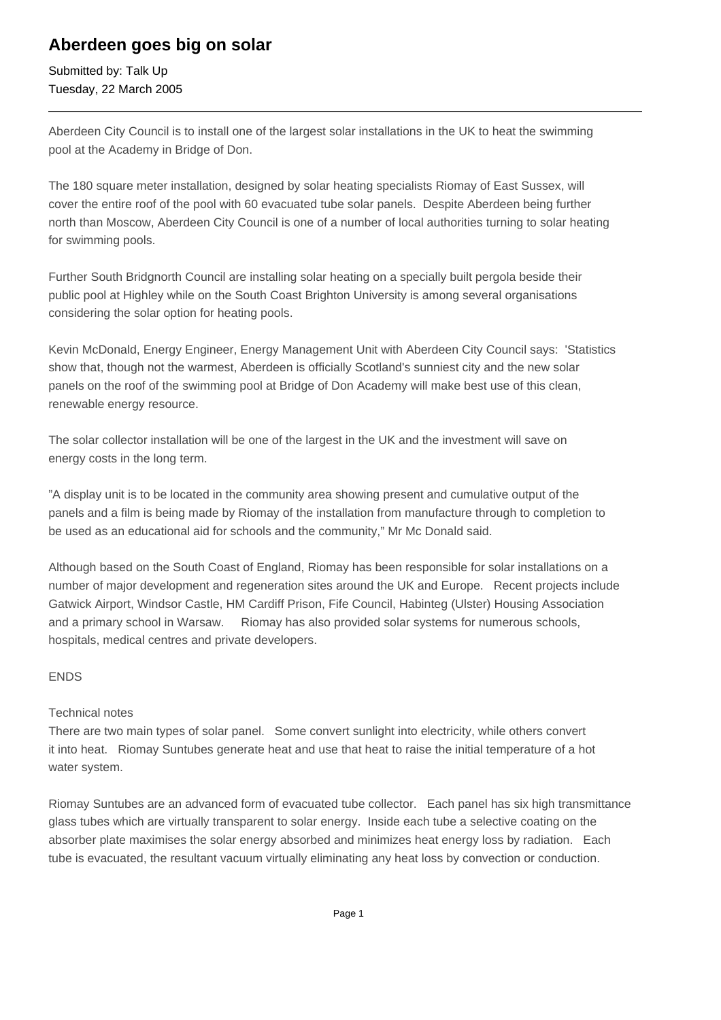## **Aberdeen goes big on solar**

Submitted by: Talk Up Tuesday, 22 March 2005

Aberdeen City Council is to install one of the largest solar installations in the UK to heat the swimming pool at the Academy in Bridge of Don.

The 180 square meter installation, designed by solar heating specialists Riomay of East Sussex, will cover the entire roof of the pool with 60 evacuated tube solar panels. Despite Aberdeen being further north than Moscow, Aberdeen City Council is one of a number of local authorities turning to solar heating for swimming pools.

Further South Bridgnorth Council are installing solar heating on a specially built pergola beside their public pool at Highley while on the South Coast Brighton University is among several organisations considering the solar option for heating pools.

Kevin McDonald, Energy Engineer, Energy Management Unit with Aberdeen City Council says: 'Statistics show that, though not the warmest, Aberdeen is officially Scotland's sunniest city and the new solar panels on the roof of the swimming pool at Bridge of Don Academy will make best use of this clean, renewable energy resource.

The solar collector installation will be one of the largest in the UK and the investment will save on energy costs in the long term.

"A display unit is to be located in the community area showing present and cumulative output of the panels and a film is being made by Riomay of the installation from manufacture through to completion to be used as an educational aid for schools and the community," Mr Mc Donald said.

Although based on the South Coast of England, Riomay has been responsible for solar installations on a number of major development and regeneration sites around the UK and Europe. Recent projects include Gatwick Airport, Windsor Castle, HM Cardiff Prison, Fife Council, Habinteg (Ulster) Housing Association and a primary school in Warsaw. Riomay has also provided solar systems for numerous schools, hospitals, medical centres and private developers.

## ENDS

## Technical notes

There are two main types of solar panel. Some convert sunlight into electricity, while others convert it into heat. Riomay Suntubes generate heat and use that heat to raise the initial temperature of a hot water system.

Riomay Suntubes are an advanced form of evacuated tube collector. Each panel has six high transmittance glass tubes which are virtually transparent to solar energy. Inside each tube a selective coating on the absorber plate maximises the solar energy absorbed and minimizes heat energy loss by radiation. Each tube is evacuated, the resultant vacuum virtually eliminating any heat loss by convection or conduction.